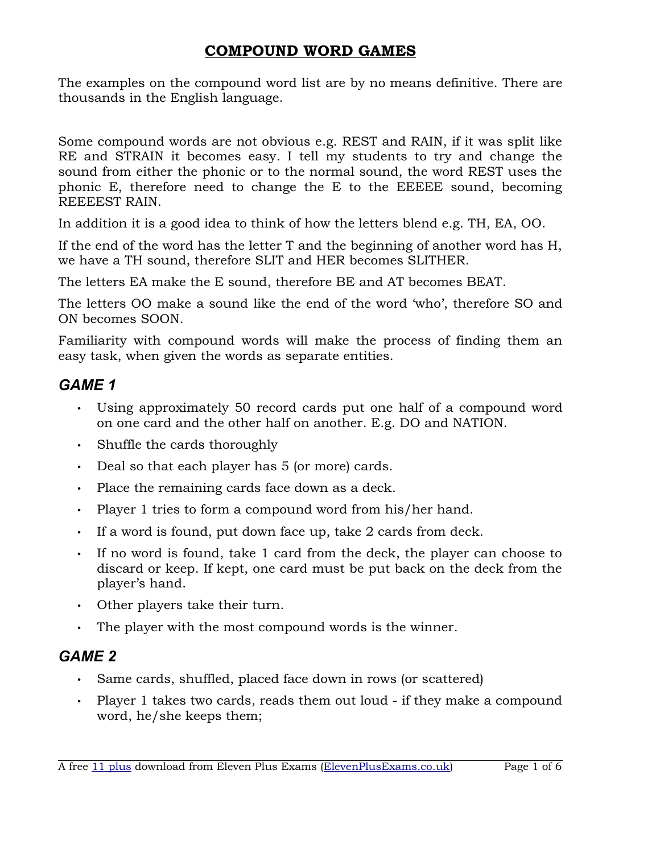The examples on the compound word list are by no means definitive. There are thousands in the English language.

Some compound words are not obvious e.g. REST and RAIN, if it was split like RE and STRAIN it becomes easy. I tell my students to try and change the sound from either the phonic or to the normal sound, the word REST uses the phonic E, therefore need to change the E to the EEEEE sound, becoming REEEEST RAIN.

In addition it is a good idea to think of how the letters blend e.g. TH, EA, OO.

If the end of the word has the letter T and the beginning of another word has H, we have a TH sound, therefore SLIT and HER becomes SLITHER.

The letters EA make the E sound, therefore BE and AT becomes BEAT.

The letters OO make a sound like the end of the word 'who', therefore SO and ON becomes SOON.

Familiarity with compound words will make the process of finding them an easy task, when given the words as separate entities.

#### *GAME 1*

- Using approximately 50 record cards put one half of a compound word on one card and the other half on another. E.g. DO and NATION.
- Shuffle the cards thoroughly
- Deal so that each player has 5 (or more) cards.
- Place the remaining cards face down as a deck.
- Player 1 tries to form a compound word from his/her hand.
- If a word is found, put down face up, take 2 cards from deck.
- If no word is found, take 1 card from the deck, the player can choose to discard or keep. If kept, one card must be put back on the deck from the player's hand.
- Other players take their turn.
- The player with the most compound words is the winner.

#### *GAME 2*

- Same cards, shuffled, placed face down in rows (or scattered)
- Player 1 takes two cards, reads them out loud if they make a compound word, he/she keeps them;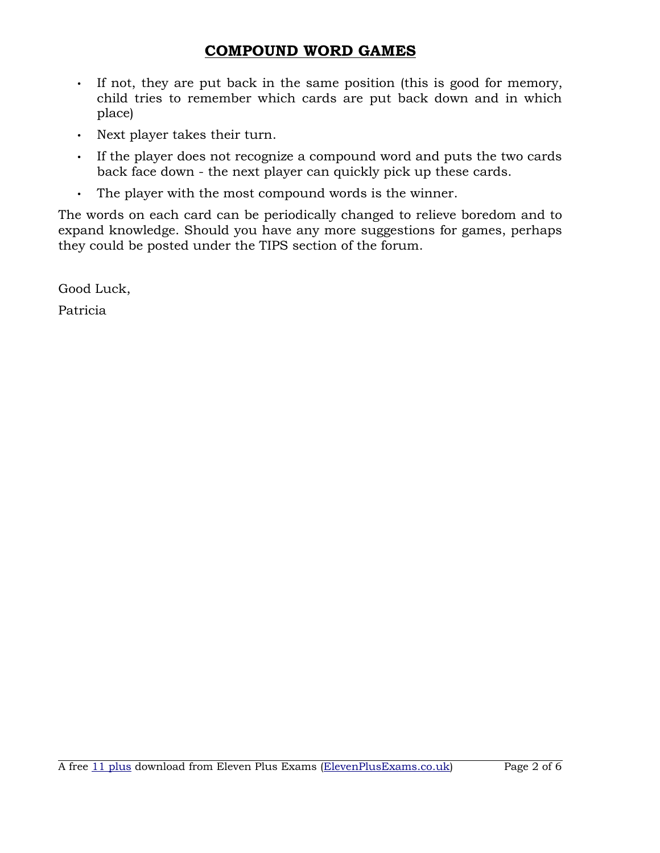- If not, they are put back in the same position (this is good for memory, child tries to remember which cards are put back down and in which place)
- Next player takes their turn.
- If the player does not recognize a compound word and puts the two cards back face down - the next player can quickly pick up these cards.
- The player with the most compound words is the winner.

The words on each card can be periodically changed to relieve boredom and to expand knowledge. Should you have any more suggestions for games, perhaps they could be posted under the TIPS section of the forum.

Good Luck,

Patricia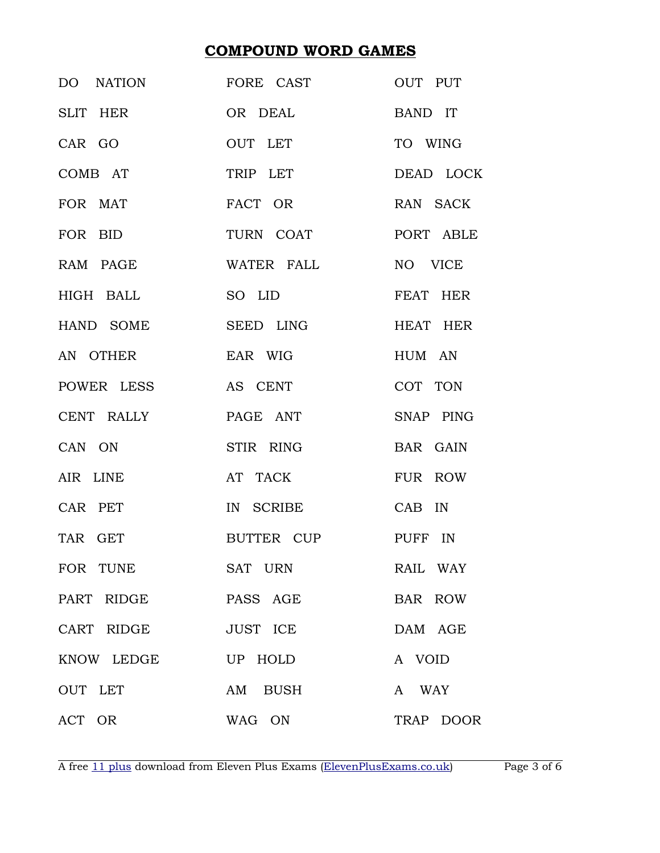| DO NATION           | FORE CAST           | OUT PUT   |
|---------------------|---------------------|-----------|
| SLIT HER            | OR DEAL             | BAND IT   |
| CAR GO              | OUT LET             | TO WING   |
| COMB AT             | TRIP LET            | DEAD LOCK |
| FOR MAT             | FACT OR             | RAN SACK  |
| FOR BID             | TURN COAT PORT ABLE |           |
|                     | RAM PAGE WATER FALL | NO VICE   |
|                     | HIGH BALL SO LID    | FEAT HER  |
| HAND SOME           | SEED LING           | HEAT HER  |
| AN OTHER            | EAR WIG             | HUM AN    |
|                     | POWER LESS AS CENT  | COT TON   |
| CENT RALLY          | PAGE ANT            | SNAP PING |
| CAN ON              | STIR RING           | BAR GAIN  |
| AIR LINE            | AT TACK             | FUR ROW   |
| CAR PET             | IN SCRIBE           | CAB IN    |
| TAR GET             | BUTTER CUP PUFF IN  |           |
| FOR TUNE            | SAT URN             | RAIL WAY  |
| PART RIDGE PASS AGE |                     | BAR ROW   |
| CART RIDGE          | JUST ICE            | DAM AGE   |
| KNOW LEDGE UP HOLD  |                     | A VOID    |
| OUT LET             | AM BUSH             | A WAY     |
| ACT OR              | WAG ON              | TRAP DOOR |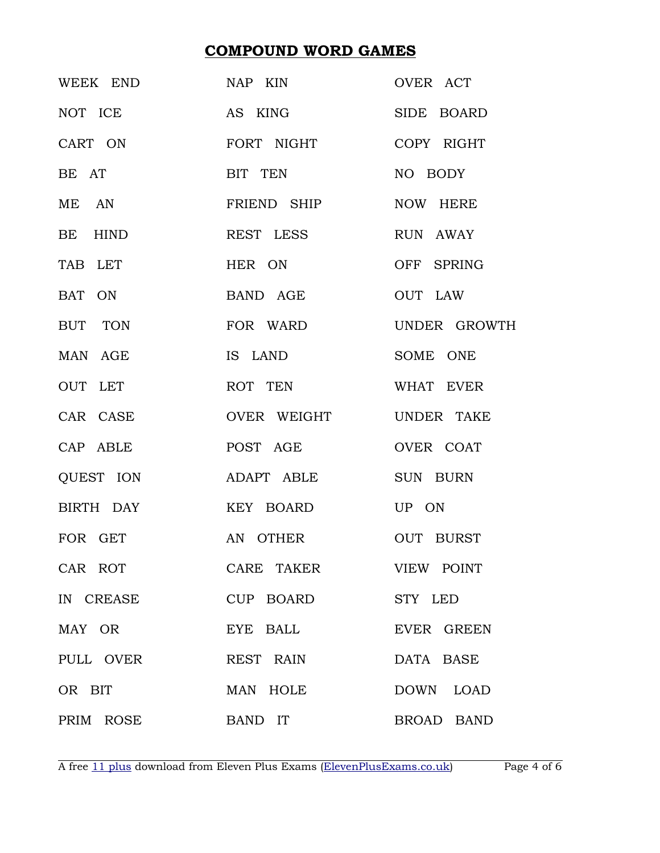|                   | WEEK END NAP KIN              | OVER ACT     |
|-------------------|-------------------------------|--------------|
| NOT ICE           | AS KING                       | SIDE BOARD   |
|                   | CART ON FORT NIGHT COPY RIGHT |              |
| BE AT             | BIT TEN                       | NO BODY      |
|                   | ME AN FRIEND SHIP             | NOW HERE     |
| BE HIND           | REST LESS                     | RUN AWAY     |
| TAB LET           | HER ON                        | OFF SPRING   |
| BAT ON            | BAND AGE                      | OUT LAW      |
| BUT TON           | FOR WARD                      | UNDER GROWTH |
| MAN AGE           | IS LAND                       | SOME ONE     |
| OUT LET           | ROT TEN                       | WHAT EVER    |
| CAR CASE          | OVER WEIGHT UNDER TAKE        |              |
| CAP ABLE          | POST AGE                      | OVER COAT    |
|                   | QUEST ION ADAPT ABLE SUN BURN |              |
|                   |                               |              |
| FOR GET           | AN OTHER                      | OUT BURST    |
| CAR ROT           | CARE TAKER VIEW POINT         |              |
| IN CREASE         | CUP BOARD STY LED             |              |
| MAY OR            | EYE BALL                      | EVER GREEN   |
| PULL OVER         | REST RAIN                     | DATA BASE    |
| OR BIT            | MAN HOLE                      | DOWN LOAD    |
| PRIM ROSE BAND IT |                               | BROAD BAND   |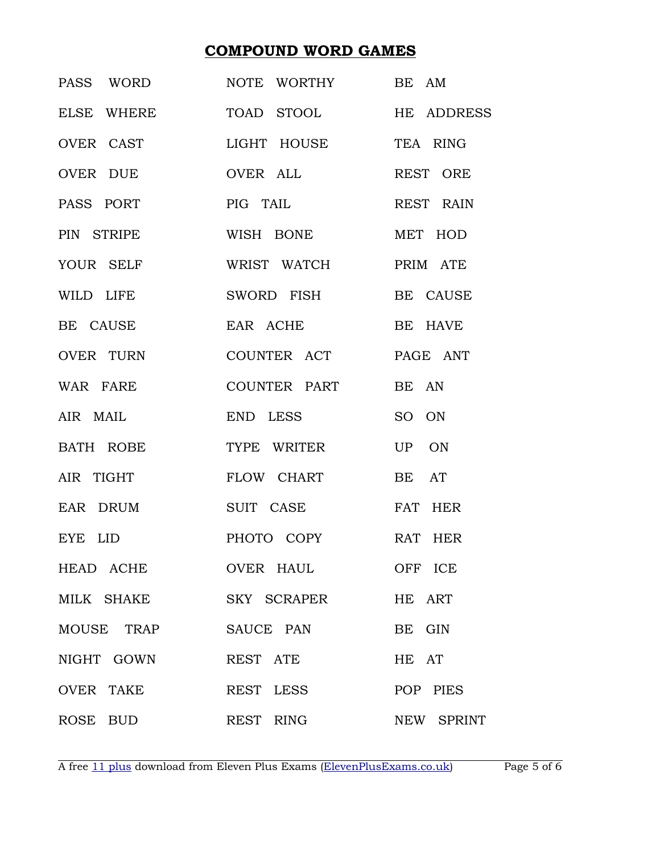| PASS WORD  | NOTE WORTHY BE AM                |            |
|------------|----------------------------------|------------|
|            | ELSE WHERE TOAD STOOL HE ADDRESS |            |
|            | OVER CAST LIGHT HOUSE TEA RING   |            |
| OVER DUE   | OVER ALL                         | REST ORE   |
| PASS PORT  | PIG TAIL                         | REST RAIN  |
| PIN STRIPE | WISH BONE MET HOD                |            |
| YOUR SELF  | WRIST WATCH                      | PRIM ATE   |
| WILD LIFE  | SWORD FISH BE CAUSE              |            |
| BE CAUSE   | EAR ACHE                         | BE HAVE    |
|            | OVER TURN COUNTER ACT PAGE ANT   |            |
| WAR FARE   | COUNTER PART                     | BE AN      |
| AIR MAIL   | END LESS                         | SO ON      |
|            | BATH ROBE TYPE WRITER            | UP ON      |
| AIR TIGHT  | FLOW CHART                       | BE AT      |
|            | EAR DRUM SUIT CASE               | FAT HER    |
| EYE LID    | PHOTO COPY RAT HER               |            |
| HEAD ACHE  | OVER HAUL                        | OFF ICE    |
|            | MILK SHAKE SKY SCRAPER           | HE ART     |
|            | MOUSE TRAP SAUCE PAN             | BE GIN     |
| NIGHT GOWN | REST ATE                         | HE AT      |
| OVER TAKE  | REST LESS                        | POP PIES   |
| ROSE BUD   | REST RING                        | NEW SPRINT |